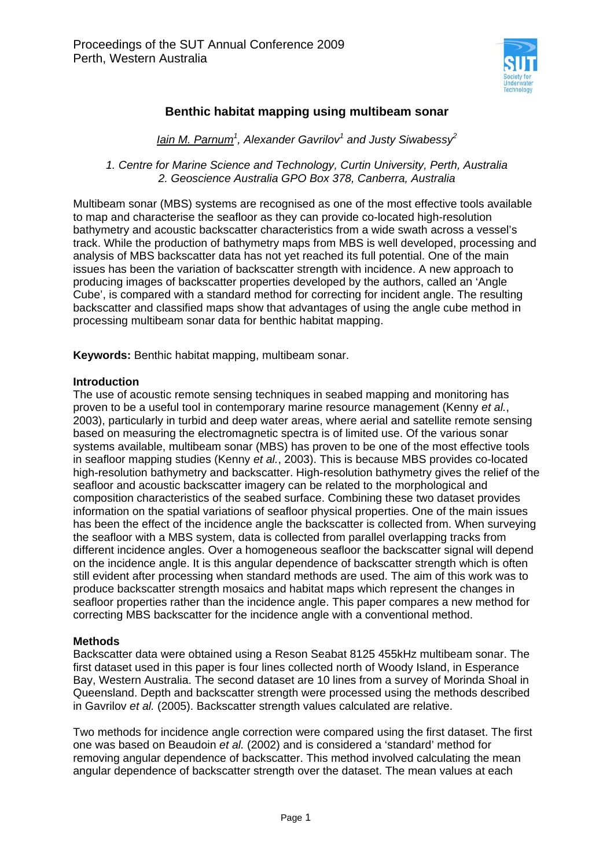

# **Benthic habitat mapping using multibeam sonar**

*Iain M. Parnum1 , Alexander Gavrilov<sup>1</sup> and Justy Siwabessy<sup>2</sup>*

*1. Centre for Marine Science and Technology, Curtin University, Perth, Australia 2. Geoscience Australia GPO Box 378, Canberra, Australia* 

Multibeam sonar (MBS) systems are recognised as one of the most effective tools available to map and characterise the seafloor as they can provide co-located high-resolution bathymetry and acoustic backscatter characteristics from a wide swath across a vessel's track. While the production of bathymetry maps from MBS is well developed, processing and analysis of MBS backscatter data has not yet reached its full potential. One of the main issues has been the variation of backscatter strength with incidence. A new approach to producing images of backscatter properties developed by the authors, called an 'Angle Cube', is compared with a standard method for correcting for incident angle. The resulting backscatter and classified maps show that advantages of using the angle cube method in processing multibeam sonar data for benthic habitat mapping.

**Keywords:** Benthic habitat mapping, multibeam sonar.

### **Introduction**

The use of acoustic remote sensing techniques in seabed mapping and monitoring has proven to be a useful tool in contemporary marine resource management (Kenny *et al.*, 2003), particularly in turbid and deep water areas, where aerial and satellite remote sensing based on measuring the electromagnetic spectra is of limited use. Of the various sonar systems available, multibeam sonar (MBS) has proven to be one of the most effective tools in seafloor mapping studies (Kenny *et al.*, 2003). This is because MBS provides co-located high-resolution bathymetry and backscatter. High-resolution bathymetry gives the relief of the seafloor and acoustic backscatter imagery can be related to the morphological and composition characteristics of the seabed surface. Combining these two dataset provides information on the spatial variations of seafloor physical properties. One of the main issues has been the effect of the incidence angle the backscatter is collected from. When surveying the seafloor with a MBS system, data is collected from parallel overlapping tracks from different incidence angles. Over a homogeneous seafloor the backscatter signal will depend on the incidence angle. It is this angular dependence of backscatter strength which is often still evident after processing when standard methods are used. The aim of this work was to produce backscatter strength mosaics and habitat maps which represent the changes in seafloor properties rather than the incidence angle. This paper compares a new method for correcting MBS backscatter for the incidence angle with a conventional method.

#### **Methods**

Backscatter data were obtained using a Reson Seabat 8125 455kHz multibeam sonar. The first dataset used in this paper is four lines collected north of Woody Island, in Esperance Bay, Western Australia. The second dataset are 10 lines from a survey of Morinda Shoal in Queensland. Depth and backscatter strength were processed using the methods described in Gavrilov *et al.* (2005). Backscatter strength values calculated are relative.

Two methods for incidence angle correction were compared using the first dataset. The first one was based on Beaudoin *et al.* (2002) and is considered a 'standard' method for removing angular dependence of backscatter. This method involved calculating the mean angular dependence of backscatter strength over the dataset. The mean values at each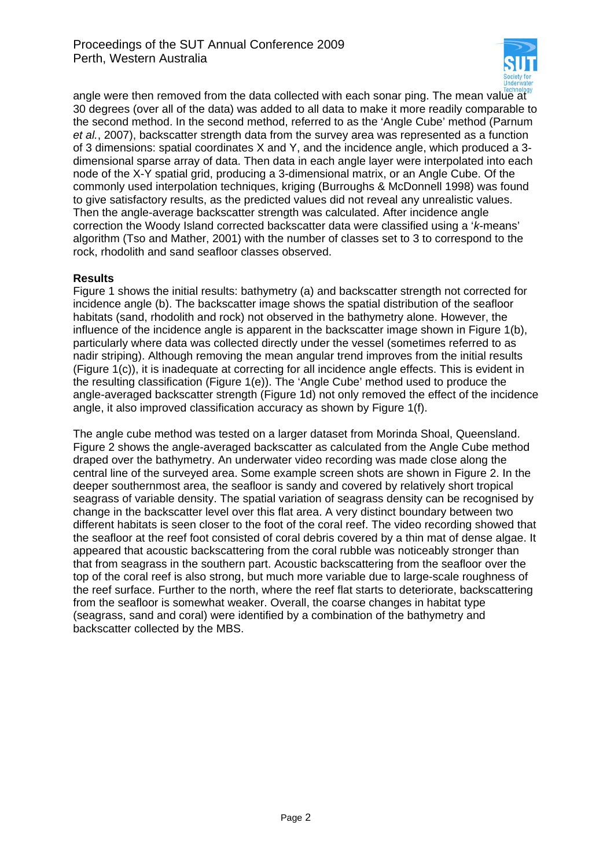

angle were then removed from the data collected with each sonar ping. The mean value at 30 degrees (over all of the data) was added to all data to make it more readily comparable to the second method. In the second method, referred to as the 'Angle Cube' method (Parnum *et al.*, 2007), backscatter strength data from the survey area was represented as a function of 3 dimensions: spatial coordinates X and Y, and the incidence angle, which produced a 3 dimensional sparse array of data. Then data in each angle layer were interpolated into each node of the X-Y spatial grid, producing a 3-dimensional matrix, or an Angle Cube. Of the commonly used interpolation techniques, kriging (Burroughs & McDonnell 1998) was found to give satisfactory results, as the predicted values did not reveal any unrealistic values. Then the angle-average backscatter strength was calculated. After incidence angle correction the Woody Island corrected backscatter data were classified using a '*k*-means' algorithm (Tso and Mather, 2001) with the number of classes set to 3 to correspond to the rock, rhodolith and sand seafloor classes observed.

# **Results**

Figure 1 shows the initial results: bathymetry (a) and backscatter strength not corrected for incidence angle (b). The backscatter image shows the spatial distribution of the seafloor habitats (sand, rhodolith and rock) not observed in the bathymetry alone. However, the influence of the incidence angle is apparent in the backscatter image shown in Figure 1(b), particularly where data was collected directly under the vessel (sometimes referred to as nadir striping). Although removing the mean angular trend improves from the initial results (Figure 1(c)), it is inadequate at correcting for all incidence angle effects. This is evident in the resulting classification (Figure 1(e)). The 'Angle Cube' method used to produce the angle-averaged backscatter strength (Figure 1d) not only removed the effect of the incidence angle, it also improved classification accuracy as shown by Figure 1(f).

The angle cube method was tested on a larger dataset from Morinda Shoal, Queensland. Figure 2 shows the angle-averaged backscatter as calculated from the Angle Cube method draped over the bathymetry. An underwater video recording was made close along the central line of the surveyed area. Some example screen shots are shown in Figure 2. In the deeper southernmost area, the seafloor is sandy and covered by relatively short tropical seagrass of variable density. The spatial variation of seagrass density can be recognised by change in the backscatter level over this flat area. A very distinct boundary between two different habitats is seen closer to the foot of the coral reef. The video recording showed that the seafloor at the reef foot consisted of coral debris covered by a thin mat of dense algae. It appeared that acoustic backscattering from the coral rubble was noticeably stronger than that from seagrass in the southern part. Acoustic backscattering from the seafloor over the top of the coral reef is also strong, but much more variable due to large-scale roughness of the reef surface. Further to the north, where the reef flat starts to deteriorate, backscattering from the seafloor is somewhat weaker. Overall, the coarse changes in habitat type (seagrass, sand and coral) were identified by a combination of the bathymetry and backscatter collected by the MBS.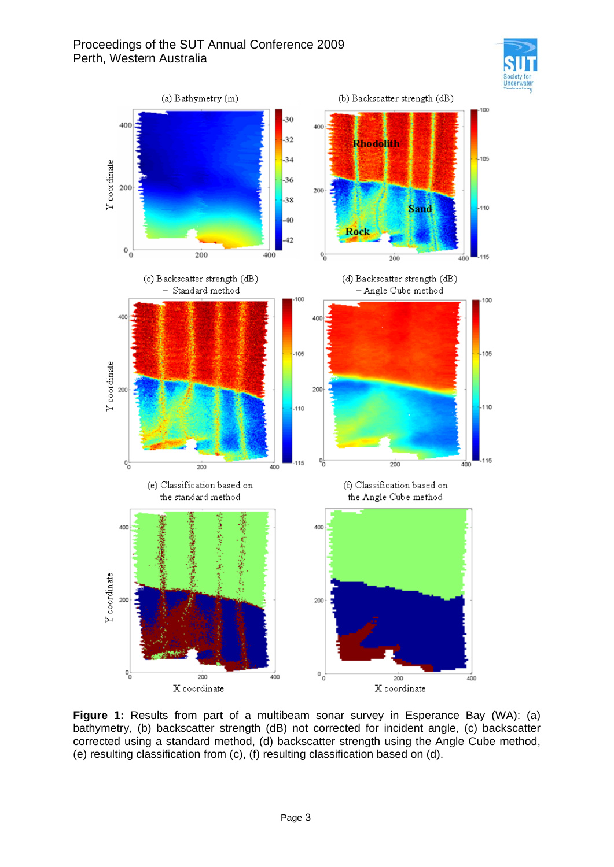



**Figure 1:** Results from part of a multibeam sonar survey in Esperance Bay (WA): (a) bathymetry, (b) backscatter strength (dB) not corrected for incident angle, (c) backscatter corrected using a standard method, (d) backscatter strength using the Angle Cube method, (e) resulting classification from (c), (f) resulting classification based on (d).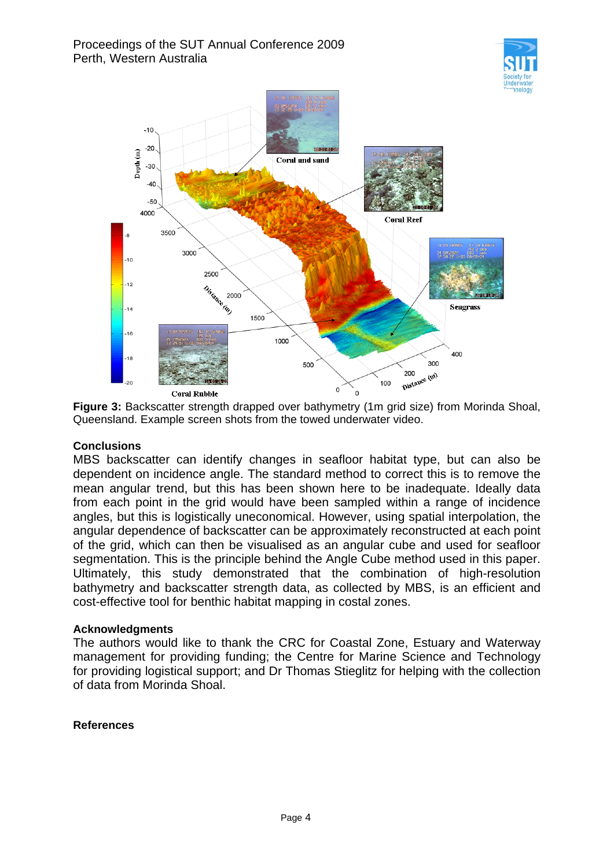



**Figure 3:** Backscatter strength drapped over bathymetry (1m grid size) from Morinda Shoal, Queensland. Example screen shots from the towed underwater video.

# **Conclusions**

MBS backscatter can identify changes in seafloor habitat type, but can also be dependent on incidence angle. The standard method to correct this is to remove the mean angular trend, but this has been shown here to be inadequate. Ideally data from each point in the grid would have been sampled within a range of incidence angles, but this is logistically uneconomical. However, using spatial interpolation, the angular dependence of backscatter can be approximately reconstructed at each point of the grid, which can then be visualised as an angular cube and used for seafloor segmentation. This is the principle behind the Angle Cube method used in this paper. Ultimately, this study demonstrated that the combination of high-resolution bathymetry and backscatter strength data, as collected by MBS, is an efficient and cost-effective tool for benthic habitat mapping in costal zones.

# **Acknowledgments**

The authors would like to thank the CRC for Coastal Zone, Estuary and Waterway management for providing funding; the Centre for Marine Science and Technology for providing logistical support; and Dr Thomas Stieglitz for helping with the collection of data from Morinda Shoal.

# **References**